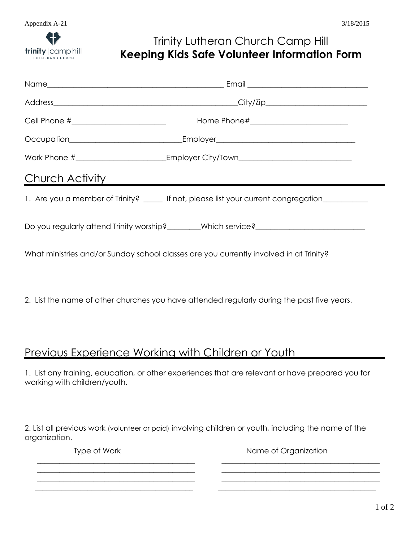# Trinity Lutheran Church Camp Hill **Keeping Kids Safe Volunteer Information Form**

|                 | Occupation___________________________________Employer__________________________________       |
|-----------------|-----------------------------------------------------------------------------------------------|
|                 | Work Phone #______________________________Employer City/Town____________________              |
| Church Activity |                                                                                               |
|                 | 1. Are you a member of Trinity? _____ If not, please list your current congregation__________ |
|                 | Do you regularly attend Trinity worship?_______Which service?___________________              |
|                 | What ministries and/or Sunday school classes are you currently involved in at Trinity?        |

2. List the name of other churches you have attended regularly during the past five years.

### Previous Experience Working with Children or Youth

1. List any training, education, or other experiences that are relevant or have prepared you for working with children/youth.

2. List all previous work (volunteer or paid) involving children or youth, including the name of the organization.

\_\_\_\_\_\_\_\_\_\_\_\_\_\_\_\_\_\_\_\_\_\_\_\_\_\_\_\_\_\_\_\_\_\_\_\_\_\_\_\_\_\_ \_\_\_\_\_\_\_\_\_\_\_\_\_\_\_\_\_\_\_\_\_\_\_\_\_\_\_\_\_\_\_\_\_\_\_\_\_\_\_\_\_\_

\_\_\_\_\_\_\_\_\_\_\_\_\_\_\_\_\_\_\_\_\_\_\_\_\_\_\_\_\_\_\_\_\_\_\_\_\_\_\_\_\_\_ \_\_\_\_\_\_\_\_\_\_\_\_\_\_\_\_\_\_\_\_\_\_\_\_\_\_\_\_\_\_\_\_\_\_\_\_\_\_\_\_\_\_ \_\_\_\_\_\_\_\_\_\_\_\_\_\_\_\_\_\_\_\_\_\_\_\_\_\_\_\_\_\_\_\_\_\_\_\_\_\_\_\_\_\_

Type of Work Name of Organization

\_\_\_\_\_\_\_\_\_\_\_\_\_\_\_\_\_\_\_\_\_\_\_\_\_\_\_\_\_\_\_\_\_\_\_\_\_\_\_\_\_\_ \_\_\_\_\_\_\_\_\_\_\_\_\_\_\_\_\_\_\_\_\_\_\_\_\_\_\_\_\_\_\_\_\_\_\_\_\_\_\_\_\_\_